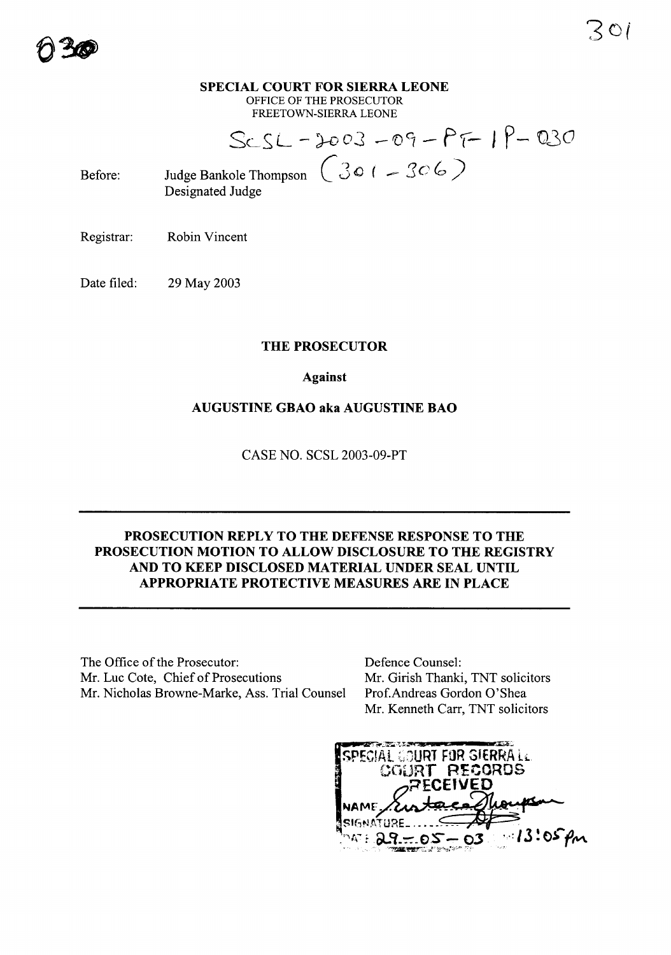#### **SPECIAL COURT FOR SIERRA LEONE** OFFICE OF THE PROSECUTOR FREETOWN-SIERRA LEONE

Sc\_SL - )-DoJ *-roCz* - **fr- <sup>I</sup> p-** V30 Judge Bankole Thompson  $\left(301-306\right)$ 

Before: Designated Judge

Registrar: Robin Vincent

Date filed: 29 May 2003

# **THE PROSECUTOR**

**Against**

# **AUGUSTINE GBAO aka AUGUSTINE BAO**

CASE NO. SCSL 2003-09-PT

# **PROSECUTION REPLY TO THE DEFENSE RESPONSE TO THE PROSECUTION MOTION TO ALLOW DISCLOSURE TO THE REGISTRY AND TO KEEP DISCLOSED MATERIAL UNDER SEAL UNTIL APPROPRIATE PROTECTIVE MEASURES ARE IN PLACE**

The Office of the Prosecutor: Mr. Luc Cote, Chief of Prosecutions Mr. Nicholas Browne-Marke, Ass. Trial Counsel Defence Counsel: Mr. Girish Thanki, TNT solicitors Prof.Andreas Gordon 0'Shea Mr. Kenneth Carr, TNT solicitors

SPECIAL GOURT FOR SIERRA LL COURT RECORDS  $3:05$  Pm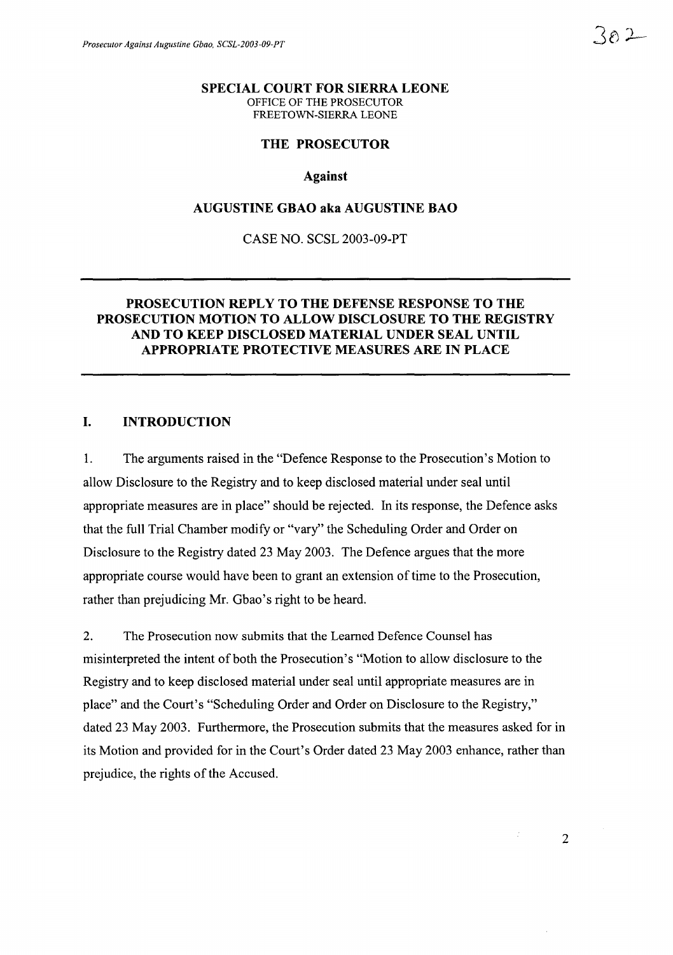#### **SPECIAL COURT FOR SIERRA LEONE** OFFICE OF THE PROSECUTOR FREETOWN-SIERRA LEONE

### **THE PROSECUTOR**

#### **Against**

### **AUGUSTINE GBAO aka AUGUSTINE BAO**

CASE NO. SCSL 2003-09-PT

### **PROSECUTION REPLY TO THE DEFENSE RESPONSE TO THE PROSECUTION MOTION TO ALLOW DISCLOSURE TO THE REGISTRY AND TO KEEP DISCLOSED MATERIAL UNDER SEAL UNTIL APPROPRIATE PROTECTIVE MEASURES ARE IN PLACE**

#### **I. INTRODUCTION**

1. The arguments raised in the "Defence Response to the Prosecution's Motion to allow Disclosure to the Registry and to keep disclosed material under seal until appropriate measures are in place" should be rejected. In its response, the Defence asks that the full Trial Chamber modify or "vary" the Scheduling Order and Order on Disclosure to the Registry dated 23 May 2003. The Defence argues that the more appropriate course would have been to grant an extension oftime to the Prosecution, rather than prejudicing Mr. Gbao's right to be heard.

2. The Prosecution now submits that the Learned Defence Counsel has misinterpreted the intent of both the Prosecution's "Motion to allow disclosure to the Registry and to keep disclosed material under seal until appropriate measures are in place" and the Court's "Scheduling Order and Order on Disclosure to the Registry," dated 23 May 2003. Furthermore, the Prosecution submits that the measures asked for in its Motion and provided for in the Court's Order dated 23 May 2003 enhance, rather than prejudice, the rights of the Accused.

2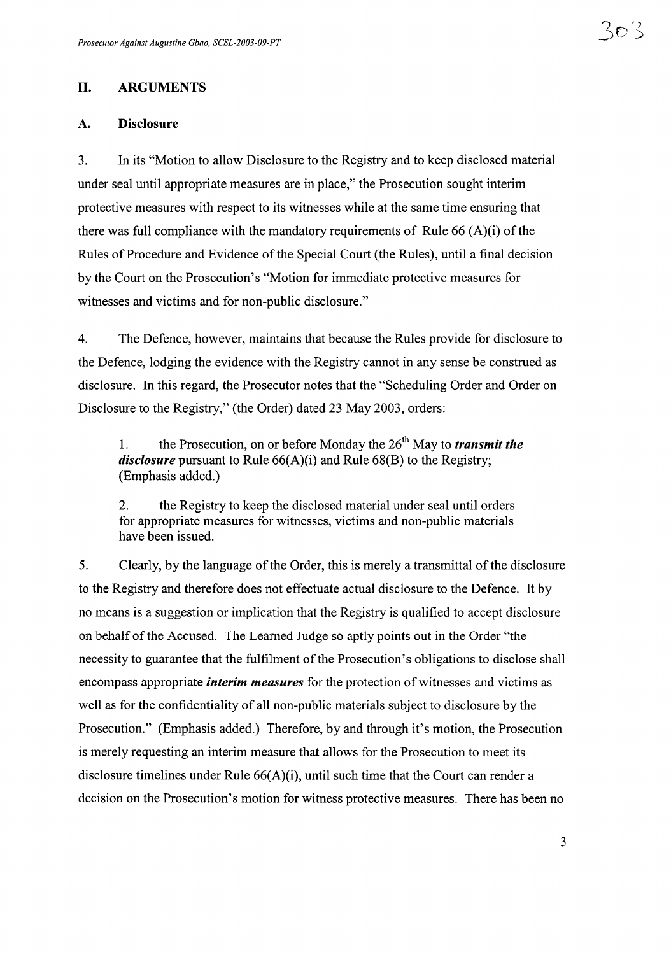## II. ARGUMENTS

#### A. Disclosure

3. In its "Motion to allow Disclosure to the Registry and to keep disclosed material under seal until appropriate measures are in place," the Prosecution sought interim protective measures with respect to its witnesses while at the same time ensuring that there was full compliance with the mandatory requirements of Rule 66  $(A)(i)$  of the Rules of Procedure and Evidence of the Special Court (the Rules), until a final decision by the Court on the Prosecution's "Motion for immediate protective measures for witnesses and victims and for non-public disclosure."

4. The Defence, however, maintains that because the Rules provide for disclosure to the Defence, lodging the evidence with the Registry cannot in any sense be construed as disclosure. In this regard, the Prosecutor notes that the "Scheduling Order and Order on Disclosure to the Registry," (the Order) dated 23 May 2003, orders:

1. the Prosecution, on or before Monday the 26th May to *transmit the disclosure* pursuant to Rule 66(A)(i) and Rule 68(B) to the Registry; (Emphasis added.)

2. the Registry to keep the disclosed material under seal until orders for appropriate measures for witnesses, victims and non-public materials have been issued.

5. Clearly, by the language of the Order, this is merely a transmittal of the disclosure to the Registry and therefore does not effectuate actual disclosure to the Defence. It by no means is a suggestion or implication that the Registry is qualified to accept disclosure on behalf of the Accused. The Learned Judge so aptly points out in the Order "the necessity to guarantee that the fulfilment of the Prosecution's obligations to disclose shall encompass appropriate *interim measures* for the protection of witnesses and victims as well as for the confidentiality of all non-public materials subject to disclosure by the Prosecution." (Emphasis added.) Therefore, by and through it's motion, the Prosecution is merely requesting an interim measure that allows for the Prosecution to meet its disclosure timelines under Rule 66(A)(i), until such time that the Court can render a decision on the Prosecution's motion for witness protective measures. There has been no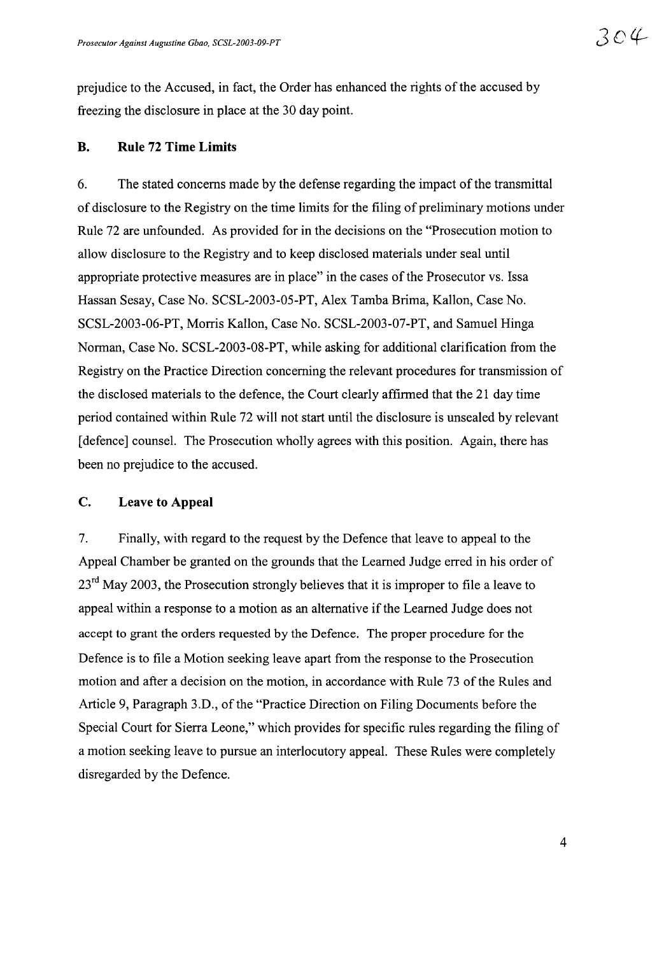prejudice to the Accused, in fact, the Order has enhanced the rights of the accused by freezing the disclosure in place at the 30 day point.

#### **B. Rule 72 Time Limits**

6. The stated concerns made by the defense regarding the impact of the transmittal of disclosure to the Registry on the time limits for the filing of preliminary motions under Rule 72 are unfounded. As provided for in the decisions on the "Prosecution motion to allow disclosure to the Registry and to keep disclosed materials under seal until appropriate protective measures are in place" in the cases of the Prosecutor vs. Issa Hassan Sesay, Case No. SCSL-2003-05-PT, Alex Tamba Brima, Kallon, Case No. SCSL-2003-06-PT, Morris Kallon, Case No. SCSL-2003-07-PT, and Samuel Hinga Norman, Case No. SCSL-2003-08-PT, while asking for additional clarification from the Registry on the Practice Direction concerning the relevant procedures for transmission of the disclosed materials to the defence, the Court clearly affirmed that the 21 day time period contained within Rule 72 will not start until the disclosure is unsealed by relevant [defence] counsel. The Prosecution wholly agrees with this position. Again, there has been no prejudice to the accused.

#### C. Leave **to Appeal**

7. Finally, with regard to the request by the Defence that leave to appeal to the Appeal Chamber be granted on the grounds that the Learned Judge erred in his order of  $23<sup>rd</sup>$  May 2003, the Prosecution strongly believes that it is improper to file a leave to appeal within a response to a motion as an alternative if the Learned Judge does not accept to grant the orders requested by the Defence. The proper procedure for the Defence is to file a Motion seeking leave apart from the response to the Prosecution motion and after a decision on the motion, in accordance with Rule 73 of the Rules and Article 9, Paragraph 3.D., of the "Practice Direction on Filing Documents before the Special Court for Sierra Leone," which provides for specific rules regarding the filing of a motion seeking leave to pursue an interlocutory appeal. These Rules were completely disregarded by the Defence.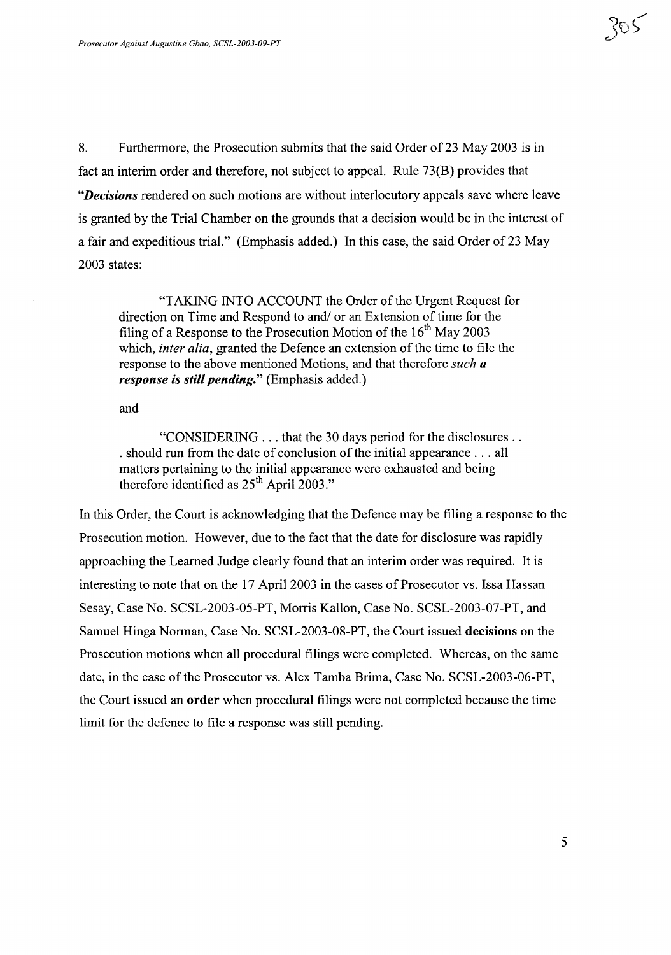8. Furthermore, the Prosecution submits that the said Order of 23 May 2003 is in fact an interim order and therefore, not subject to appeal. Rule 73(B) provides that *"Decisions* rendered on such motions are without interlocutory appeals save where leave is granted by the Trial Chamber on the grounds that a decision would be in the interest of a fair and expeditious trial." (Emphasis added.) In this case, the said Order of 23 May 2003 states:

"TAKING INTO ACCOUNT the Order of the Urgent Request for direction on Time and Respond to and/ or an Extension of time for the filing of a Response to the Prosecution Motion of the  $16<sup>th</sup>$  May 2003 which, *inter alia*, granted the Defence an extension of the time to file the response to the above mentioned Motions, and that therefore *such a response is still pending."* (Emphasis added.)

and

"CONSIDERING ... that the 30 days period for the disclosures .. . should run from the date of conclusion of the initial appearance  $\dots$  all matters pertaining to the initial appearance were exhausted and being therefore identified as  $25<sup>th</sup>$  April 2003."

In this Order, the Court is acknowledging that the Defence may be filing a response to the Prosecution motion. However, due to the fact that the date for disclosure was rapidly approaching the Learned Judge clearly found that an interim order was required. It is interesting to note that on the 17 April 2003 in the cases of Prosecutor vs. Issa Hassan Sesay, Case No. SCSL-2003-05-PT, Morris Kallon, Case No. SCSL-2003-07-PT, and Samuel Hinga Norman, Case No. SCSL-2003-08-PT, the Court issued decisions on the Prosecution motions when all procedural filings were completed. Whereas, on the same date, in the case of the Prosecutor vs. Alex Tamba Brima, Case No. SCSL-2003-06-PT, the Court issued an order when procedural filings were not completed because the time limit for the defence to file a response was still pending.